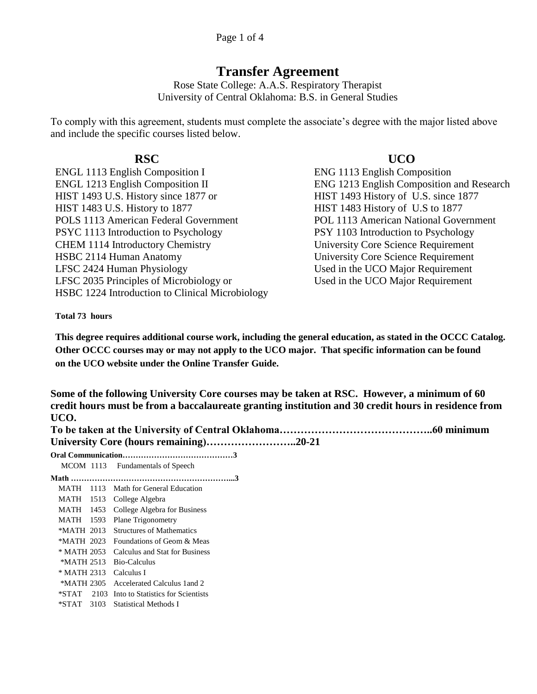# **Transfer Agreement**

Rose State College: A.A.S. Respiratory Therapist University of Central Oklahoma: B.S. in General Studies

To comply with this agreement, students must complete the associate's degree with the major listed above and include the specific courses listed below.

ENGL 1113 English Composition I ENG 1113 English Composition ENGL 1213 English Composition II ENG 1213 English Composition and Research HIST 1493 U.S. History since 1877 or HIST 1493 History of U.S. since 1877 HIST 1483 U.S. History to 1877 HIST 1483 History of U.S to 1877 POLS 1113 American Federal Government POL 1113 American National Government PSYC 1113 Introduction to Psychology CHEM 1114 Introductory Chemistry HSBC 2114 Human Anatomy University Core Science Requirement LFSC 2424 Human Physiology Used in the UCO Major Requirement LFSC 2035 Principles of Microbiology or Used in the UCO Major Requirement HSBC 1224 Introduction to Clinical Microbiology

## **RSC UCO**

PSY 1103 Introduction to Psychology University Core Science Requirement

### **Total 73 hours**

**This degree requires additional course work, including the general education, as stated in the OCCC Catalog. Other OCCC courses may or may not apply to the UCO major. That specific information can be found on the UCO website under the Online Transfer Guide.**

**Some of the following University Core courses may be taken at RSC. However, a minimum of 60 credit hours must be from a baccalaureate granting institution and 30 credit hours in residence from UCO.**

| Oral Communication |  |
|--------------------|--|

| Oral Communication |      |                                   |
|--------------------|------|-----------------------------------|
|                    |      | MCOM 1113 Fundamentals of Speech  |
|                    |      |                                   |
| MATH               | 1113 | Math for General Education        |
| MATH               | 1513 | College Algebra                   |
| MATH 1453          |      | College Algebra for Business      |
| MATH               | 1593 | <b>Plane Trigonometry</b>         |
| *MATH 2013         |      | Structures of Mathematics         |
| *MATH 2023         |      | Foundations of Geom & Meas        |
| * MATH 2053        |      | Calculus and Stat for Business    |
| *MATH 2513         |      | Bio-Calculus                      |
| * MATH 2313        |      | Calculus I                        |
| *MATH 2305         |      | Accelerated Calculus 1 and 2      |
| *STAT              | 2103 | Into to Statistics for Scientists |
| *STAT 3103         |      | Statistical Methods I             |
|                    |      |                                   |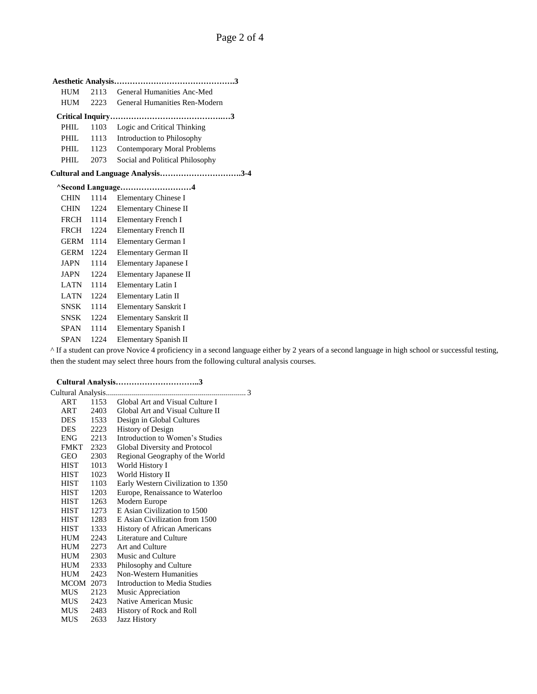| <b>HUM</b>                        | 2113 | General Humanities Anc-Med         |
|-----------------------------------|------|------------------------------------|
| HUM                               | 2223 | General Humanities Ren-Modern      |
|                                   |      |                                    |
| PHIL.                             | 1103 | Logic and Critical Thinking        |
| PHIL.                             | 1113 | Introduction to Philosophy         |
| PHIL                              | 1123 | <b>Contemporary Moral Problems</b> |
| PHIL.                             | 2073 | Social and Political Philosophy    |
| Cultural and Language Analysis3-4 |      |                                    |
|                                   |      | ^Second Language4                  |
| <b>CHIN</b>                       | 1114 | Elementary Chinese I               |
| CHIN                              | 1224 | Elementary Chinese II              |
| <b>FRCH</b>                       | 1114 | <b>Elementary French I</b>         |
| <b>FRCH</b>                       | 1224 | <b>Elementary French II</b>        |
| <b>GERM</b>                       | 1114 | Elementary German I                |
| <b>GERM</b>                       | 1224 | Elementary German II               |
| JAPN                              | 1114 | Elementary Japanese I              |
| JAPN                              | 1224 | Elementary Japanese II             |
| LATN                              | 1114 | Elementary Latin I                 |
| <b>LATN</b>                       | 1224 | Elementary Latin II                |
| <b>SNSK</b>                       | 1114 | Elementary Sanskrit I              |
| SNSK                              | 1224 | Elementary Sanskrit II             |
| SPAN                              | 1114 | Elementary Spanish I               |
| <b>SPAN</b>                       | 1224 | Elementary Spanish II              |

^ If a student can prove Novice 4 proficiency in a second language either by 2 years of a second language in high school or successful testing, then the student may select three hours from the following cultural analysis courses.

 **Cultural Analysis…………………………..3**

| Cultural Analysis |      | . 3                                 |
|-------------------|------|-------------------------------------|
| ART               | 1153 | Global Art and Visual Culture I     |
| ART               | 2403 | Global Art and Visual Culture II    |
| <b>DES</b>        | 1533 | Design in Global Cultures           |
| <b>DES</b>        | 2223 | <b>History of Design</b>            |
| ENG 2213          |      | Introduction to Women's Studies     |
| FMKT 2323         |      | Global Diversity and Protocol       |
| GEO               | 2303 | Regional Geography of the World     |
| <b>HIST</b>       | 1013 | World History I                     |
| <b>HIST</b>       | 1023 | World History II                    |
| <b>HIST</b>       | 1103 | Early Western Civilization to 1350  |
| <b>HIST</b>       | 1203 | Europe, Renaissance to Waterloo     |
| <b>HIST</b>       | 1263 | Modern Europe                       |
| HIST              | 1273 | E Asian Civilization to 1500        |
| <b>HIST</b>       | 1283 | E Asian Civilization from 1500      |
| <b>HIST</b>       | 1333 | <b>History of African Americans</b> |
| <b>HUM</b>        | 2243 | Literature and Culture              |
| HUM               | 2273 | Art and Culture                     |
| HUM               | 2303 | Music and Culture                   |
| HUM               | 2333 | Philosophy and Culture              |
| HUM               | 2423 | Non-Western Humanities              |
| MCOM 2073         |      | Introduction to Media Studies       |
| <b>MUS</b>        | 2123 | Music Appreciation                  |
| <b>MUS</b>        | 2423 | Native American Music               |
| MUS 2483          |      | History of Rock and Roll            |
| MUS               | 2633 | <b>Jazz History</b>                 |
|                   |      |                                     |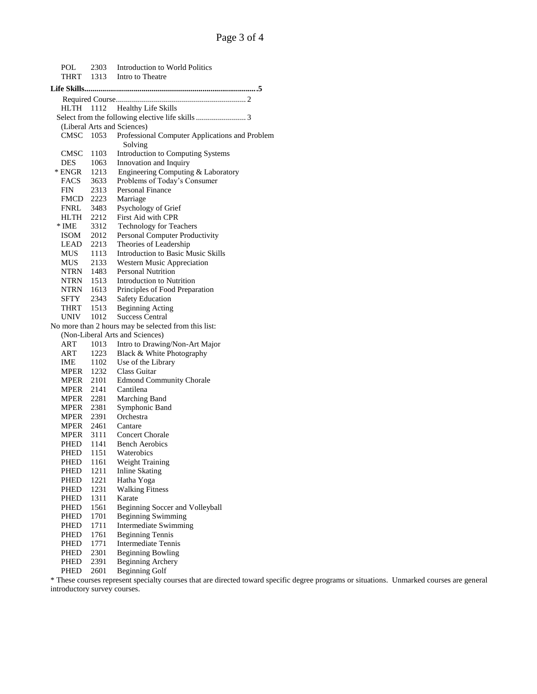| POL                    |      | 2303 Introduction to World Politics<br>1313 Intro to Theatre |  |  |  |
|------------------------|------|--------------------------------------------------------------|--|--|--|
| THRT                   |      |                                                              |  |  |  |
|                        |      |                                                              |  |  |  |
|                        |      |                                                              |  |  |  |
| HLTH 1112              |      | <b>Healthy Life Skills</b>                                   |  |  |  |
|                        |      |                                                              |  |  |  |
|                        |      | (Liberal Arts and Sciences)                                  |  |  |  |
| CMSC 1053              |      | Professional Computer Applications and Problem<br>Solving    |  |  |  |
| CMSC                   | 1103 | Introduction to Computing Systems                            |  |  |  |
| <b>DES</b>             | 1063 | Innovation and Inquiry                                       |  |  |  |
| DES 1063<br>ENGR 1213  |      | Engineering Computing & Laboratory                           |  |  |  |
| FACS 3633              |      | Problems of Today's Consumer                                 |  |  |  |
| <b>FIN</b>             | 2313 | Personal Finance                                             |  |  |  |
| FMCD 2223<br>FNRL 3483 |      | Marriage                                                     |  |  |  |
|                        |      | Psychology of Grief                                          |  |  |  |
| HLTH 2212              |      | First Aid with CPR                                           |  |  |  |
| * IME                  | 3312 | <b>Technology for Teachers</b>                               |  |  |  |
|                        |      | Personal Computer Productivity                               |  |  |  |
| ISOM 2012<br>LEAD 2213 |      | Theories of Leadership                                       |  |  |  |
| MUS 1113               |      | <b>Introduction to Basic Music Skills</b>                    |  |  |  |
|                        |      | Western Music Appreciation                                   |  |  |  |
| MUS 2133<br>NTRN 1483  |      | <b>Personal Nutrition</b>                                    |  |  |  |
| <b>NTRN</b> 1513       |      | Introduction to Nutrition                                    |  |  |  |
| NTRN 1613              |      | Principles of Food Preparation                               |  |  |  |
|                        |      | Safety Education                                             |  |  |  |
| SFTY 2343<br>THRT 1513 |      | <b>Beginning Acting</b>                                      |  |  |  |
| UNIV 1012              |      | <b>Success Central</b>                                       |  |  |  |
|                        |      | No more than 2 hours may be selected from this list:         |  |  |  |
|                        |      | (Non-Liberal Arts and Sciences)                              |  |  |  |
| ART                    | 1013 | Intro to Drawing/Non-Art Major                               |  |  |  |
| ART                    | 1223 | Black & White Photography                                    |  |  |  |
|                        |      | Use of the Library                                           |  |  |  |
| IME 1102<br>MPER 1232  |      | Class Guitar                                                 |  |  |  |
| <b>MPER</b> 2101       |      |                                                              |  |  |  |
|                        |      | <b>Edmond Community Chorale</b>                              |  |  |  |
| MPER 2141              |      | Cantilena                                                    |  |  |  |
| MPER 2281<br>MPER 2381 |      | Marching Band                                                |  |  |  |
|                        |      | Symphonic Band                                               |  |  |  |
| MPER 2391              |      | Orchestra                                                    |  |  |  |
| MPER 2461              |      | Cantare                                                      |  |  |  |
|                        |      | MPER 3111 Concert Chorale                                    |  |  |  |
| PHED 1141              |      | <b>Bench Aerobics</b>                                        |  |  |  |
| PHED                   | 1151 | Waterobics                                                   |  |  |  |
| PHED                   | 1161 | Weight Training                                              |  |  |  |
| PHED                   | 1211 | <b>Inline Skating</b>                                        |  |  |  |
| PHED                   | 1221 | Hatha Yoga                                                   |  |  |  |
| PHED                   | 1231 | <b>Walking Fitness</b>                                       |  |  |  |
| PHED                   | 1311 | Karate                                                       |  |  |  |
| PHED                   | 1561 | Beginning Soccer and Volleyball                              |  |  |  |
| PHED                   | 1701 | <b>Beginning Swimming</b>                                    |  |  |  |
| PHED                   | 1711 | Intermediate Swimming                                        |  |  |  |
| PHED                   | 1761 | <b>Beginning Tennis</b>                                      |  |  |  |
| PHED                   | 1771 | <b>Intermediate Tennis</b>                                   |  |  |  |
| PHED                   | 2301 | <b>Beginning Bowling</b>                                     |  |  |  |
| PHED                   | 2391 | <b>Beginning Archery</b>                                     |  |  |  |
| PHED                   | 2601 | <b>Beginning Golf</b>                                        |  |  |  |

\* These courses represent specialty courses that are directed toward specific degree programs or situations. Unmarked courses are general introductory survey courses.